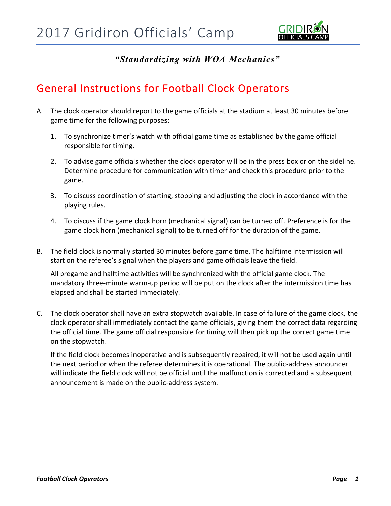

*"Standardizing with WOA Mechanics"*

## General Instructions for Football Clock Operators

- A. The clock operator should report to the game officials at the stadium at least 30 minutes before game time for the following purposes:
	- 1. To synchronize timer's watch with official game time as established by the game official responsible for timing.
	- 2. To advise game officials whether the clock operator will be in the press box or on the sideline. Determine procedure for communication with timer and check this procedure prior to the game.
	- 3. To discuss coordination of starting, stopping and adjusting the clock in accordance with the playing rules.
	- 4. To discuss if the game clock horn (mechanical signal) can be turned off. Preference is for the game clock horn (mechanical signal) to be turned off for the duration of the game.
- B. The field clock is normally started 30 minutes before game time. The halftime intermission will start on the referee's signal when the players and game officials leave the field.

All pregame and halftime activities will be synchronized with the official game clock. The mandatory three-minute warm-up period will be put on the clock after the intermission time has elapsed and shall be started immediately.

C. The clock operator shall have an extra stopwatch available. In case of failure of the game clock, the clock operator shall immediately contact the game officials, giving them the correct data regarding the official time. The game official responsible for timing will then pick up the correct game time on the stopwatch.

If the field clock becomes inoperative and is subsequently repaired, it will not be used again until the next period or when the referee determines it is operational. The public-address announcer will indicate the field clock will not be official until the malfunction is corrected and a subsequent announcement is made on the public-address system.